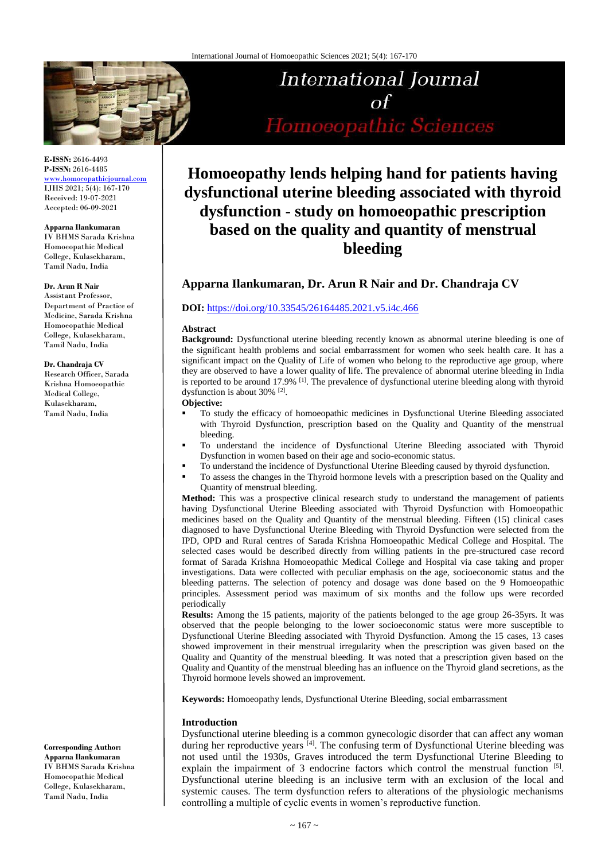

**E-ISSN:** 2616-4493 **P-ISSN:** 2616-4485

[www.homoeopathicjournal.com](file://Server/test/homoeopathicjournal/issue/vol%204/issue%201/www.homoeopathicjournal.com) IJHS 2021; 5(4): 167-170 Received: 19-07-2021 Accepted: 06-09-2021

#### **Apparna Ilankumaran**

IV BHMS Sarada Krishna Homoeopathic Medical College, Kulasekharam, Tamil Nadu, India

# **Dr. Arun R Nair**

Assistant Professor, Department of Practice of Medicine, Sarada Krishna Homoeopathic Medical College, Kulasekharam, Tamil Nadu, India

#### **Dr. Chandraja CV**

Research Officer, Sarada Krishna Homoeopathic Medical College, Kulasekharam, Tamil Nadu, India

**Corresponding Author: Apparna Ilankumaran** IV BHMS Sarada Krishna

Homoeopathic Medical College, Kulasekharam, Tamil Nadu, India

# International Journal  $\alpha f$ Homoeopathic Sciences

# **Homoeopathy lends helping hand for patients having dysfunctional uterine bleeding associated with thyroid dysfunction - study on homoeopathic prescription based on the quality and quantity of menstrual bleeding**

# **Apparna Ilankumaran, Dr. Arun R Nair and Dr. Chandraja CV**

#### **DOI:** <https://doi.org/10.33545/26164485.2021.v5.i4c.466>

#### **Abstract**

**Background:** Dysfunctional uterine bleeding recently known as abnormal uterine bleeding is one of the significant health problems and social embarrassment for women who seek health care. It has a significant impact on the Quality of Life of women who belong to the reproductive age group, where they are observed to have a lower quality of life. The prevalence of abnormal uterine bleeding in India is reported to be around 17.9% [1]. The prevalence of dysfunctional uterine bleeding along with thyroid dysfunction is about 30% <sup>[2]</sup>.

#### **Objective:**

- To study the efficacy of homoeopathic medicines in Dysfunctional Uterine Bleeding associated with Thyroid Dysfunction, prescription based on the Quality and Quantity of the menstrual bleeding.
- To understand the incidence of Dysfunctional Uterine Bleeding associated with Thyroid Dysfunction in women based on their age and socio-economic status.
- To understand the incidence of Dysfunctional Uterine Bleeding caused by thyroid dysfunction.
- To assess the changes in the Thyroid hormone levels with a prescription based on the Quality and Quantity of menstrual bleeding.

**Method:** This was a prospective clinical research study to understand the management of patients having Dysfunctional Uterine Bleeding associated with Thyroid Dysfunction with Homoeopathic medicines based on the Quality and Quantity of the menstrual bleeding. Fifteen (15) clinical cases diagnosed to have Dysfunctional Uterine Bleeding with Thyroid Dysfunction were selected from the IPD, OPD and Rural centres of Sarada Krishna Homoeopathic Medical College and Hospital. The selected cases would be described directly from willing patients in the pre-structured case record format of Sarada Krishna Homoeopathic Medical College and Hospital via case taking and proper investigations. Data were collected with peculiar emphasis on the age, socioeconomic status and the bleeding patterns. The selection of potency and dosage was done based on the 9 Homoeopathic principles. Assessment period was maximum of six months and the follow ups were recorded periodically

**Results:** Among the 15 patients, majority of the patients belonged to the age group 26-35yrs. It was observed that the people belonging to the lower socioeconomic status were more susceptible to Dysfunctional Uterine Bleeding associated with Thyroid Dysfunction. Among the 15 cases, 13 cases showed improvement in their menstrual irregularity when the prescription was given based on the Quality and Quantity of the menstrual bleeding. It was noted that a prescription given based on the Quality and Quantity of the menstrual bleeding has an influence on the Thyroid gland secretions, as the Thyroid hormone levels showed an improvement.

**Keywords:** Homoeopathy lends, Dysfunctional Uterine Bleeding, social embarrassment

#### **Introduction**

Dysfunctional uterine bleeding is a common gynecologic disorder that can affect any woman during her reproductive years [4]. The confusing term of Dysfunctional Uterine bleeding was not used until the 1930s, Graves introduced the term Dysfunctional Uterine Bleeding to explain the impairment of 3 endocrine factors which control the menstrual function [5]. Dysfunctional uterine bleeding is an inclusive term with an exclusion of the local and systemic causes. The term dysfunction refers to alterations of the physiologic mechanisms controlling a multiple of cyclic events in women's reproductive function.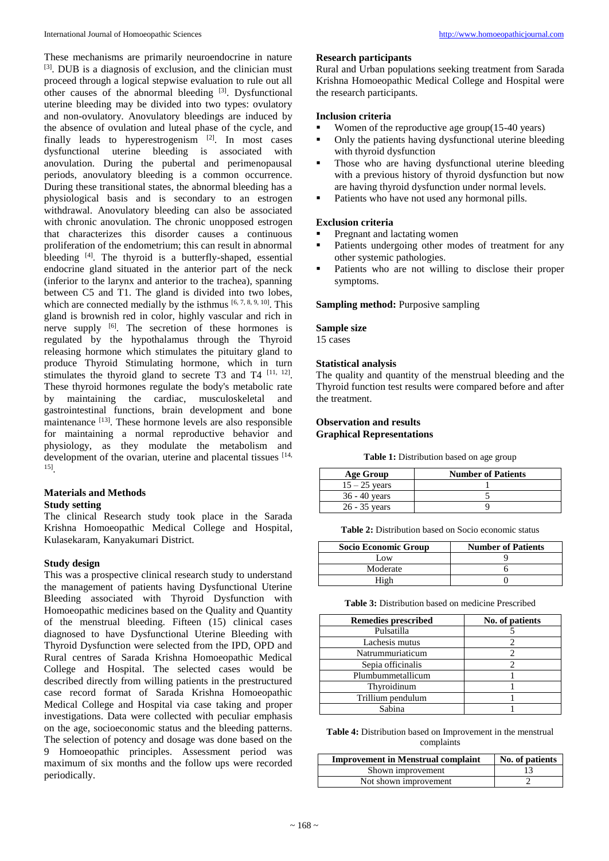These mechanisms are primarily neuroendocrine in nature [3]. DUB is a diagnosis of exclusion, and the clinician must proceed through a logical stepwise evaluation to rule out all other causes of the abnormal bleeding [3]. Dysfunctional uterine bleeding may be divided into two types: ovulatory and non-ovulatory. Anovulatory bleedings are induced by the absence of ovulation and luteal phase of the cycle, and finally leads to hyperestrogenism [2]. In most cases dysfunctional uterine bleeding is associated with anovulation. During the pubertal and perimenopausal periods, anovulatory bleeding is a common occurrence. During these transitional states, the abnormal bleeding has a physiological basis and is secondary to an estrogen withdrawal. Anovulatory bleeding can also be associated with chronic anovulation. The chronic unopposed estrogen that characterizes this disorder causes a continuous proliferation of the endometrium; this can result in abnormal bleeding  $[4]$ . The thyroid is a butterfly-shaped, essential endocrine gland situated in the anterior part of the neck (inferior to the larynx and anterior to the trachea), spanning between C5 and T1. The gland is divided into two lobes, which are connected medially by the isthmus  $[6, 7, 8, 9, 10]$ . This gland is brownish red in color, highly vascular and rich in nerve supply <sup>[6]</sup>. The secretion of these hormones is regulated by the hypothalamus through the Thyroid releasing hormone which stimulates the pituitary gland to produce Thyroid Stimulating hormone, which in turn stimulates the thyroid gland to secrete T3 and T4  $^{[11, 12]}$ . These thyroid hormones regulate the body's metabolic rate by maintaining the cardiac, musculoskeletal and gastrointestinal functions, brain development and bone maintenance  $^{[13]}$ . These hormone levels are also responsible for maintaining a normal reproductive behavior and physiology, as they modulate the metabolism and development of the ovarian, uterine and placental tissues [14, 15] .

# **Materials and Methods**

#### **Study setting**

The clinical Research study took place in the Sarada Krishna Homoeopathic Medical College and Hospital, Kulasekaram, Kanyakumari District.

#### **Study design**

This was a prospective clinical research study to understand the management of patients having Dysfunctional Uterine Bleeding associated with Thyroid Dysfunction with Homoeopathic medicines based on the Quality and Quantity of the menstrual bleeding. Fifteen (15) clinical cases diagnosed to have Dysfunctional Uterine Bleeding with Thyroid Dysfunction were selected from the IPD, OPD and Rural centres of Sarada Krishna Homoeopathic Medical College and Hospital. The selected cases would be described directly from willing patients in the prestructured case record format of Sarada Krishna Homoeopathic Medical College and Hospital via case taking and proper investigations. Data were collected with peculiar emphasis on the age, socioeconomic status and the bleeding patterns. The selection of potency and dosage was done based on the 9 Homoeopathic principles. Assessment period was maximum of six months and the follow ups were recorded periodically.

#### **Research participants**

Rural and Urban populations seeking treatment from Sarada Krishna Homoeopathic Medical College and Hospital were the research participants.

#### **Inclusion criteria**

- Women of the reproductive age group( $15-40$  years)<br>Culv the patients having dysfunctional uterine blee
- Only the patients having dysfunctional uterine bleeding with thyroid dysfunction
- **Those who are having dysfunctional uterine bleeding** with a previous history of thyroid dysfunction but now are having thyroid dysfunction under normal levels.
- Patients who have not used any hormonal pills.

# **Exclusion criteria**

- Pregnant and lactating women
- Patients undergoing other modes of treatment for any other systemic pathologies.
- Patients who are not willing to disclose their proper symptoms.

# **Sampling method:** Purposive sampling

# **Sample size**

15 cases

# **Statistical analysis**

The quality and quantity of the menstrual bleeding and the Thyroid function test results were compared before and after the treatment.

## **Observation and results Graphical Representations**

**Table 1:** Distribution based on age group

| Age Group       | <b>Number of Patients</b> |
|-----------------|---------------------------|
| $15 - 25$ years |                           |
| $36 - 40$ years |                           |
| $26 - 35$ years |                           |

**Table 2:** Distribution based on Socio economic status

| Socio Economic Group | <b>Number of Patients</b> |
|----------------------|---------------------------|
| Low                  |                           |
| Moderate             |                           |
|                      |                           |

**Table 3:** Distribution based on medicine Prescribed

| <b>Remedies prescribed</b> | No. of patients |
|----------------------------|-----------------|
| Pulsatilla                 |                 |
| Lachesis mutus             |                 |
| Natrummuriaticum           |                 |
| Sepia officinalis          |                 |
| Plumbummetallicum          |                 |
| Thyroidinum                |                 |
| Trillium pendulum          |                 |
| Sabina                     |                 |

**Table 4:** Distribution based on Improvement in the menstrual complaints

| <b>Improvement in Menstrual complaint</b> | No. of patients |
|-------------------------------------------|-----------------|
| Shown improvement                         |                 |
| Not shown improvement                     |                 |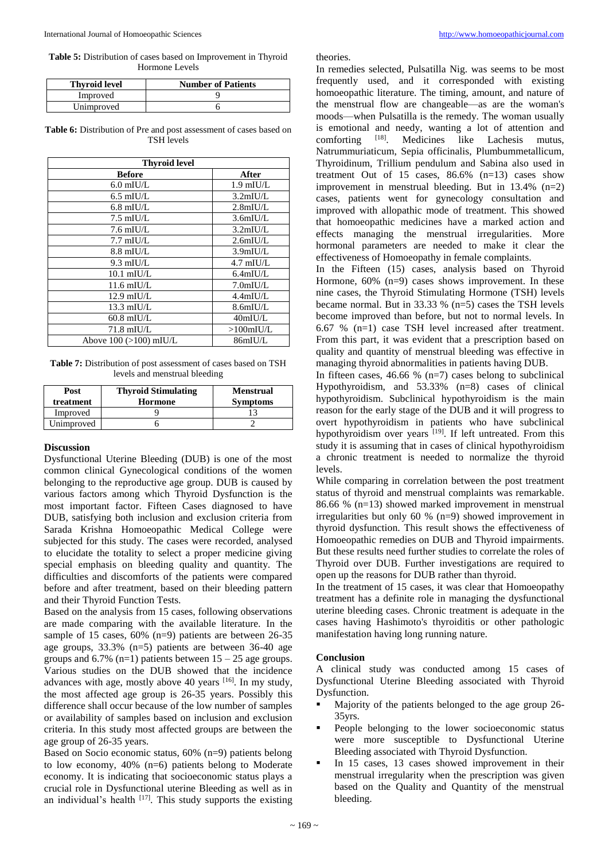**Table 5:** Distribution of cases based on Improvement in Thyroid Hormone Levels

| <b>Thyroid level</b> | <b>Number of Patients</b> |
|----------------------|---------------------------|
| Improved             |                           |
| Unimproved           |                           |

Table 6: Distribution of Pre and post assessment of cases based on TSH levels

| <b>Thyroid level</b>     |                                    |  |
|--------------------------|------------------------------------|--|
| <b>Before</b>            | After                              |  |
| $6.0$ mIU/L              | $1.9 \text{ mI}$ U/L               |  |
| $6.5$ mIU/L              | $3.2$ mIU/L                        |  |
| $6.8$ mIU/L              | $2.8$ mIU/L                        |  |
| $7.5 \text{ mI}$ U/L     | 3.6mIUL                            |  |
| $7.6 \text{ mI}$ U/L     | $3.2$ mIU/L                        |  |
| $7.7 \text{ mI}$ U/L     | $2.6$ mIU/L                        |  |
| $8.8$ mIU/L              | 3.9 <sub>m</sub> IU/L              |  |
| $9.3 \text{ mI}$ U/L     | $4.7$ mIU/L                        |  |
| $10.1 \text{ mIU/L}$     | $6.4$ mIU/L                        |  |
| $11.6 \text{ mI}$ U/L    | 7.0 <sub>m</sub> I <sub>U</sub> /L |  |
| $12.9$ mIU/L             | $4.4$ mIU/L                        |  |
| 13.3 mIU/L               | 8.6mIU/L                           |  |
| $60.8$ mIU/L             | 40mIUL                             |  |
| 71.8 mIU/L               | $>100$ mIU/L                       |  |
| Above $100$ (>100) mIU/L | 86mIU/L                            |  |

**Table 7:** Distribution of post assessment of cases based on TSH levels and menstrual bleeding

| Post<br>treatment | <b>Thyroid Stimulating</b><br>Hormone | <b>Menstrual</b><br><b>Symptoms</b> |
|-------------------|---------------------------------------|-------------------------------------|
| Improved          |                                       |                                     |
| Unimproved        |                                       |                                     |

#### **Discussion**

Dysfunctional Uterine Bleeding (DUB) is one of the most common clinical Gynecological conditions of the women belonging to the reproductive age group. DUB is caused by various factors among which Thyroid Dysfunction is the most important factor. Fifteen Cases diagnosed to have DUB, satisfying both inclusion and exclusion criteria from Sarada Krishna Homoeopathic Medical College were subjected for this study. The cases were recorded, analysed to elucidate the totality to select a proper medicine giving special emphasis on bleeding quality and quantity. The difficulties and discomforts of the patients were compared before and after treatment, based on their bleeding pattern and their Thyroid Function Tests.

Based on the analysis from 15 cases, following observations are made comparing with the available literature. In the sample of 15 cases, 60% (n=9) patients are between 26-35 age groups, 33.3% (n=5) patients are between 36-40 age groups and  $6.7\%$  (n=1) patients between  $15 - 25$  age groups. Various studies on the DUB showed that the incidence advances with age, mostly above 40 years <sup>[16]</sup>. In my study, the most affected age group is 26-35 years. Possibly this difference shall occur because of the low number of samples or availability of samples based on inclusion and exclusion criteria. In this study most affected groups are between the age group of 26-35 years.

Based on Socio economic status, 60% (n=9) patients belong to low economy, 40% (n=6) patients belong to Moderate economy. It is indicating that socioeconomic status plays a crucial role in Dysfunctional uterine Bleeding as well as in an individual's health  $[17]$ . This study supports the existing theories.

In remedies selected, Pulsatilla Nig. was seems to be most frequently used, and it corresponded with existing homoeopathic literature. The timing, amount, and nature of the menstrual flow are changeable—as are the woman's moods—when Pulsatilla is the remedy. The woman usually is emotional and needy, wanting a lot of attention and comforting [18]. Medicines like Lachesis mutus. comforting . Medicines like Lachesis mutus, Natrummuriaticum, Sepia officinalis, Plumbummetallicum, Thyroidinum, Trillium pendulum and Sabina also used in treatment Out of 15 cases,  $86.6\%$  (n=13) cases show improvement in menstrual bleeding. But in  $13.4\%$  (n=2) cases, patients went for gynecology consultation and improved with allopathic mode of treatment. This showed that homoeopathic medicines have a marked action and effects managing the menstrual irregularities. More hormonal parameters are needed to make it clear the effectiveness of Homoeopathy in female complaints.

In the Fifteen (15) cases, analysis based on Thyroid Hormone,  $60\%$  (n=9) cases shows improvement. In these nine cases, the Thyroid Stimulating Hormone (TSH) levels became normal. But in  $33.33 \%$  (n=5) cases the TSH levels become improved than before, but not to normal levels. In 6.67 % (n=1) case TSH level increased after treatment. From this part, it was evident that a prescription based on quality and quantity of menstrual bleeding was effective in managing thyroid abnormalities in patients having DUB.

In fifteen cases, 46.66 %  $(n=7)$  cases belong to subclinical Hypothyroidism, and 53.33% (n=8) cases of clinical hypothyroidism. Subclinical hypothyroidism is the main reason for the early stage of the DUB and it will progress to overt hypothyroidism in patients who have subclinical hypothyroidism over years <sup>[19]</sup>. If left untreated. From this study it is assuming that in cases of clinical hypothyroidism a chronic treatment is needed to normalize the thyroid levels.

While comparing in correlation between the post treatment status of thyroid and menstrual complaints was remarkable. 86.66 % (n=13) showed marked improvement in menstrual irregularities but only 60 % (n=9) showed improvement in thyroid dysfunction. This result shows the effectiveness of Homoeopathic remedies on DUB and Thyroid impairments. But these results need further studies to correlate the roles of Thyroid over DUB. Further investigations are required to open up the reasons for DUB rather than thyroid.

In the treatment of 15 cases, it was clear that Homoeopathy treatment has a definite role in managing the dysfunctional uterine bleeding cases. Chronic treatment is adequate in the cases having Hashimoto's thyroiditis or other pathologic manifestation having long running nature.

#### **Conclusion**

A clinical study was conducted among 15 cases of Dysfunctional Uterine Bleeding associated with Thyroid Dysfunction.

- Majority of the patients belonged to the age group 26- 35yrs.
- People belonging to the lower socioeconomic status were more susceptible to Dysfunctional Uterine Bleeding associated with Thyroid Dysfunction.
- In 15 cases, 13 cases showed improvement in their menstrual irregularity when the prescription was given based on the Quality and Quantity of the menstrual bleeding.